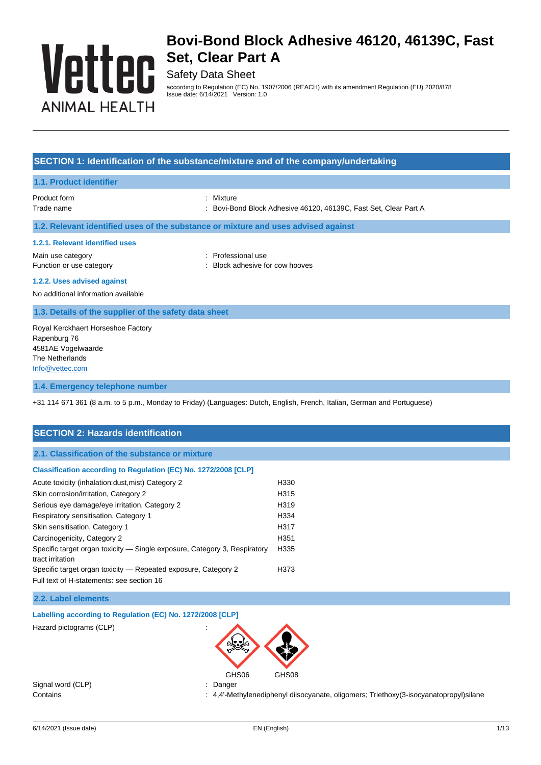# Vettec **ANIMAL HEALTH**

# **Bovi-Bond Block Adhesive 46120, 46139C, Fast Set, Clear Part A**

# Safety Data Sheet

according to Regulation (EC) No. 1907/2006 (REACH) with its amendment Regulation (EU) 2020/878 Issue date: 6/14/2021 Version: 1.0

#### **SECTION 1: Identification of the substance/mixture and of the company/undertaking**

#### **1.1. Product identifier**

Product form **: Mixture** 

- 
- Trade name : Bovi-Bond Block Adhesive 46120, 46139C, Fast Set, Clear Part A

#### **1.2. Relevant identified uses of the substance or mixture and uses advised against**

#### **1.2.1. Relevant identified uses**

Main use category **in the set of the COV** and the Professional use Function or use category **Example 20** Function or use category **in the stategory**  $\cdot$  Block adhesive for cow hooves

#### **1.2.2. Uses advised against**

No additional information available

#### **1.3. Details of the supplier of the safety data sheet**

Royal Kerckhaert Horseshoe Factory Rapenburg 76 4581AE Vogelwaarde The Netherlands [Info@vettec.com](mailto:Info@vettec.com)

#### **1.4. Emergency telephone number**

+31 114 671 361 (8 a.m. to 5 p.m., Monday to Friday) (Languages: Dutch, English, French, Italian, German and Portuguese)

### **SECTION 2: Hazards identification**

**2.1. Classification of the substance or mixture**

#### **Classification according to Regulation (EC) No. 1272/2008 [CLP]**

| Acute toxicity (inhalation: dust, mist) Category 2                                            | H330             |
|-----------------------------------------------------------------------------------------------|------------------|
| Skin corrosion/irritation, Category 2                                                         | H315             |
| Serious eye damage/eye irritation, Category 2                                                 | H <sub>319</sub> |
| Respiratory sensitisation, Category 1                                                         | H334             |
| Skin sensitisation, Category 1                                                                | H317             |
| Carcinogenicity, Category 2                                                                   | H351             |
| Specific target organ toxicity — Single exposure, Category 3, Respiratory<br>tract irritation | H335             |
| Specific target organ toxicity – Repeated exposure, Category 2                                | H373             |
| Full text of H-statements: see section 16                                                     |                  |

#### **2.2. Label elements**

**Labelling according to Regulation (EC) No. 1272/2008 [CLP]**

Hazard pictograms (CLP) :



Signal word (CLP) : Danger

Contains : 4,4'-Methylenediphenyl diisocyanate, oligomers; Triethoxy(3-isocyanatopropyl)silane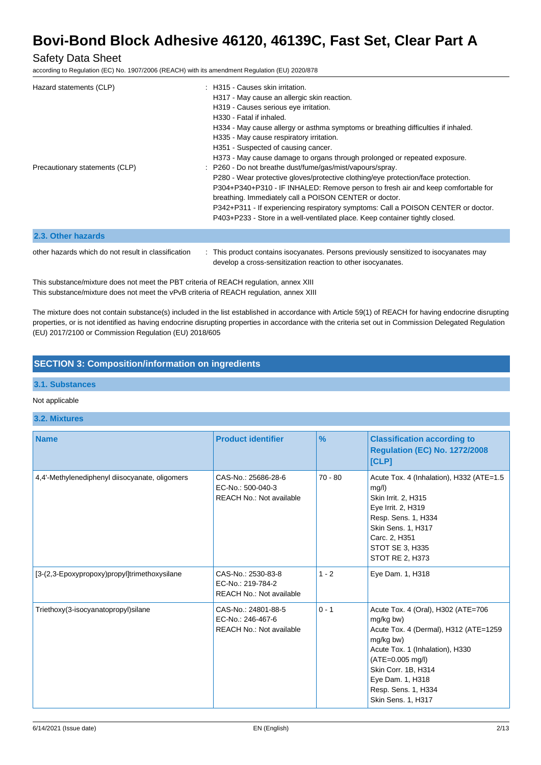### Safety Data Sheet

according to Regulation (EC) No. 1907/2006 (REACH) with its amendment Regulation (EU) 2020/878

| Hazard statements (CLP)<br>Precautionary statements (CLP) | $\pm$ H315 - Causes skin irritation.<br>H317 - May cause an allergic skin reaction.<br>H319 - Causes serious eye irritation.<br>H <sub>330</sub> - Fatal if inhaled.<br>H334 - May cause allergy or asthma symptoms or breathing difficulties if inhaled.<br>H335 - May cause respiratory irritation.<br>H351 - Suspected of causing cancer.<br>H373 - May cause damage to organs through prolonged or repeated exposure.<br>: P260 - Do not breathe dust/fume/gas/mist/vapours/spray.<br>P280 - Wear protective gloves/protective clothing/eye protection/face protection.<br>P304+P340+P310 - IF INHALED: Remove person to fresh air and keep comfortable for<br>breathing. Immediately call a POISON CENTER or doctor.<br>P342+P311 - If experiencing respiratory symptoms: Call a POISON CENTER or doctor.<br>P403+P233 - Store in a well-ventilated place. Keep container tightly closed. |
|-----------------------------------------------------------|------------------------------------------------------------------------------------------------------------------------------------------------------------------------------------------------------------------------------------------------------------------------------------------------------------------------------------------------------------------------------------------------------------------------------------------------------------------------------------------------------------------------------------------------------------------------------------------------------------------------------------------------------------------------------------------------------------------------------------------------------------------------------------------------------------------------------------------------------------------------------------------------|
| 2.3. Other hazards                                        |                                                                                                                                                                                                                                                                                                                                                                                                                                                                                                                                                                                                                                                                                                                                                                                                                                                                                                |

other hazards which do not result in classification : This product contains isocyanates. Persons previously sensitized to isocyanates may develop a cross-sensitization reaction to other isocyanates.

This substance/mixture does not meet the PBT criteria of REACH regulation, annex XIII This substance/mixture does not meet the vPvB criteria of REACH regulation, annex XIII

The mixture does not contain substance(s) included in the list established in accordance with Article 59(1) of REACH for having endocrine disrupting properties, or is not identified as having endocrine disrupting properties in accordance with the criteria set out in Commission Delegated Regulation (EU) 2017/2100 or Commission Regulation (EU) 2018/605

### **SECTION 3: Composition/information on ingredients**

#### **3.1. Substances**

#### Not applicable

#### **3.2. Mixtures**

| <b>Name</b>                                    | <b>Product identifier</b>                                                   | $\frac{9}{6}$ | <b>Classification according to</b><br><b>Regulation (EC) No. 1272/2008</b><br>[CLP]                                                                                                                                                                  |
|------------------------------------------------|-----------------------------------------------------------------------------|---------------|------------------------------------------------------------------------------------------------------------------------------------------------------------------------------------------------------------------------------------------------------|
| 4,4'-Methylenediphenyl diisocyanate, oligomers | CAS-No.: 25686-28-6<br>EC-No.: 500-040-3<br><b>REACH No.: Not available</b> | $70 - 80$     | Acute Tox. 4 (Inhalation), H332 (ATE=1.5<br>mg/l)<br>Skin Irrit. 2, H315<br>Eye Irrit. 2, H319<br>Resp. Sens. 1, H334<br>Skin Sens. 1, H317<br>Carc. 2, H351<br>STOT SE 3, H335<br><b>STOT RE 2, H373</b>                                            |
| [3-(2,3-Epoxypropoxy)propyl]trimethoxysilane   | CAS-No.: 2530-83-8<br>EC-No.: 219-784-2<br><b>REACH No.: Not available</b>  | $1 - 2$       | Eye Dam. 1, H318                                                                                                                                                                                                                                     |
| Triethoxy(3-isocyanatopropyl)silane            | CAS-No.: 24801-88-5<br>EC-No.: 246-467-6<br><b>REACH No.: Not available</b> | $0 - 1$       | Acute Tox. 4 (Oral), H302 (ATE=706<br>mg/kg bw)<br>Acute Tox. 4 (Dermal), H312 (ATE=1259<br>mg/kg bw)<br>Acute Tox. 1 (Inhalation), H330<br>(ATE=0.005 mg/l)<br>Skin Corr. 1B, H314<br>Eye Dam. 1, H318<br>Resp. Sens. 1, H334<br>Skin Sens. 1, H317 |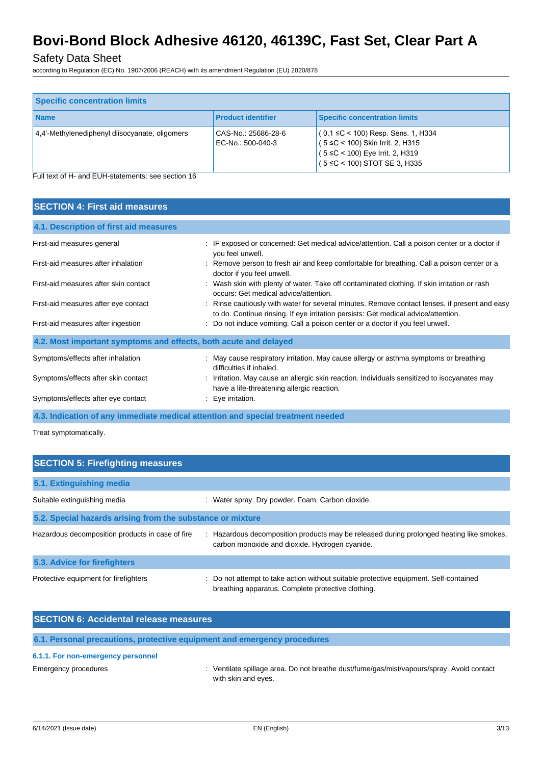# Safety Data Sheet

according to Regulation (EC) No. 1907/2006 (REACH) with its amendment Regulation (EU) 2020/878

| <b>Specific concentration limits</b>           |                                          |                                                                                                                                                  |
|------------------------------------------------|------------------------------------------|--------------------------------------------------------------------------------------------------------------------------------------------------|
| <b>Name</b>                                    | <b>Product identifier</b>                | <b>Specific concentration limits</b>                                                                                                             |
| 4.4'-Methylenediphenyl diisocyanate, oligomers | CAS-No.: 25686-28-6<br>EC-No.: 500-040-3 | $(0.1$ ≤C < 100) Resp. Sens. 1, H334<br>(5 ≤C < 100) Skin Irrit. 2, H315<br>(5 ≤C < 100) Eye Irrit. 2, H319<br>$(5 \le C < 100)$ STOT SE 3, H335 |

Full text of H- and EUH-statements: see section 16

| <b>SECTION 4: First aid measures</b>                             |                                                                                                                                                                                     |  |  |  |
|------------------------------------------------------------------|-------------------------------------------------------------------------------------------------------------------------------------------------------------------------------------|--|--|--|
| 4.1. Description of first aid measures                           |                                                                                                                                                                                     |  |  |  |
| First-aid measures general                                       | : IF exposed or concerned: Get medical advice/attention. Call a poison center or a doctor if<br>you feel unwell.                                                                    |  |  |  |
| First-aid measures after inhalation                              | : Remove person to fresh air and keep comfortable for breathing. Call a poison center or a<br>doctor if you feel unwell.                                                            |  |  |  |
| First-aid measures after skin contact                            | : Wash skin with plenty of water. Take off contaminated clothing. If skin irritation or rash<br>occurs: Get medical advice/attention.                                               |  |  |  |
| First-aid measures after eye contact                             | : Rinse cautiously with water for several minutes. Remove contact lenses, if present and easy<br>to do. Continue rinsing. If eye irritation persists: Get medical advice/attention. |  |  |  |
| First-aid measures after ingestion                               | Do not induce vomiting. Call a poison center or a doctor if you feel unwell.                                                                                                        |  |  |  |
| 4.2. Most important symptoms and effects, both acute and delayed |                                                                                                                                                                                     |  |  |  |
| Symptoms/effects after inhalation                                | : May cause respiratory irritation. May cause allergy or asthma symptoms or breathing<br>difficulties if inhaled.                                                                   |  |  |  |
| Symptoms/effects after skin contact                              | : Irritation. May cause an allergic skin reaction. Individuals sensitized to isocyanates may<br>have a life-threatening allergic reaction.                                          |  |  |  |
| Symptoms/effects after eye contact                               | Eye irritation.                                                                                                                                                                     |  |  |  |

**4.3. Indication of any immediate medical attention and special treatment needed**

Treat symptomatically.

| <b>SECTION 5: Firefighting measures</b>                    |                                                                                                                                            |  |  |
|------------------------------------------------------------|--------------------------------------------------------------------------------------------------------------------------------------------|--|--|
| 5.1. Extinguishing media                                   |                                                                                                                                            |  |  |
| Suitable extinguishing media                               | : Water spray. Dry powder. Foam. Carbon dioxide.                                                                                           |  |  |
| 5.2. Special hazards arising from the substance or mixture |                                                                                                                                            |  |  |
| Hazardous decomposition products in case of fire           | : Hazardous decomposition products may be released during prolonged heating like smokes,<br>carbon monoxide and dioxide. Hydrogen cyanide. |  |  |
| 5.3. Advice for firefighters                               |                                                                                                                                            |  |  |
| Protective equipment for firefighters                      | Do not attempt to take action without suitable protective equipment. Self-contained<br>breathing apparatus. Complete protective clothing.  |  |  |

| <b>SECTION 6: Accidental release measures</b> |                                                                                                                  |
|-----------------------------------------------|------------------------------------------------------------------------------------------------------------------|
|                                               | 6.1. Personal precautions, protective equipment and emergency procedures                                         |
| 6.1.1. For non-emergency personnel            |                                                                                                                  |
| Emergency procedures                          | : Ventilate spillage area. Do not breathe dust/fume/gas/mist/vapours/spray. Avoid contact<br>with skin and eyes. |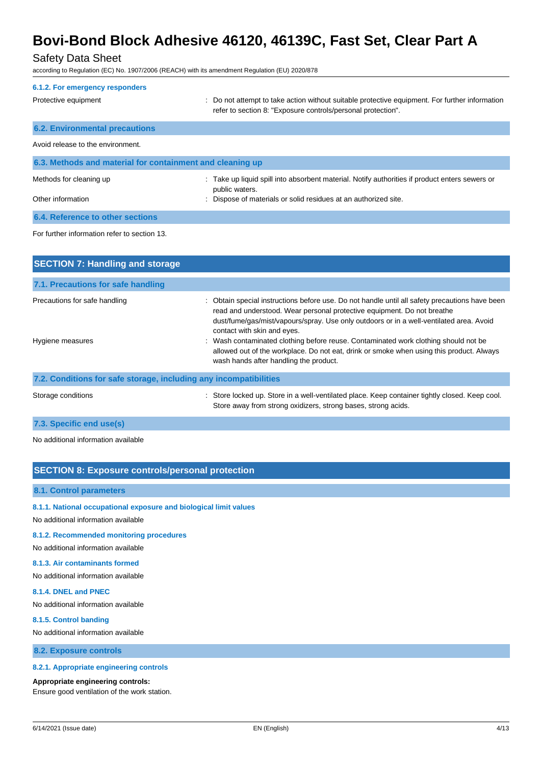### Safety Data Sheet

according to Regulation (EC) No. 1907/2006 (REACH) with its amendment Regulation (EU) 2020/878

| 6.1.2. For emergency responders                           |                                                                                                                                                                                                                                                                    |
|-----------------------------------------------------------|--------------------------------------------------------------------------------------------------------------------------------------------------------------------------------------------------------------------------------------------------------------------|
| Protective equipment                                      | : Do not attempt to take action without suitable protective equipment. For further information<br>refer to section 8: "Exposure controls/personal protection".                                                                                                     |
| <b>6.2. Environmental precautions</b>                     |                                                                                                                                                                                                                                                                    |
| Avoid release to the environment.                         |                                                                                                                                                                                                                                                                    |
| 6.3. Methods and material for containment and cleaning up |                                                                                                                                                                                                                                                                    |
| Methods for cleaning up                                   | : Take up liquid spill into absorbent material. Notify authorities if product enters sewers or<br>public waters.                                                                                                                                                   |
| Other information                                         | : Dispose of materials or solid residues at an authorized site.                                                                                                                                                                                                    |
| 6.4. Reference to other sections                          |                                                                                                                                                                                                                                                                    |
| For further information refer to section 13.              |                                                                                                                                                                                                                                                                    |
| <b>SECTION 7: Handling and storage</b>                    |                                                                                                                                                                                                                                                                    |
| 7.1. Precautions for safe handling                        |                                                                                                                                                                                                                                                                    |
| Precautions for safe handling                             | Obtain special instructions before use. Do not handle until all safety precautions have been<br>read and understood. Wear personal protective equipment. Do not breathe<br>dust/fume/gas/mist/vapours/spray. Use only outdoors or in a well-ventilated area. Avoid |

# contact with skin and eyes. Hygiene measures **interval of the contaminated clothing before reuse.** Contaminated work clothing should not be allowed out of the workplace. Do not eat, drink or smoke when using this product. Always wash hands after handling the product.

**7.2. Conditions for safe storage, including any incompatibilities**

Storage conditions : Store locked up. Store in a well-ventilated place. Keep container tightly closed. Keep cool. Store away from strong oxidizers, strong bases, strong acids.

#### **7.3. Specific end use(s)**

No additional information available

#### **SECTION 8: Exposure controls/personal protection**

#### **8.1. Control parameters**

**8.1.1. National occupational exposure and biological limit values**

No additional information available

#### **8.1.2. Recommended monitoring procedures**

No additional information available

#### **8.1.3. Air contaminants formed**

No additional information available

#### **8.1.4. DNEL and PNEC**

No additional information available

#### **8.1.5. Control banding**

No additional information available

**8.2. Exposure controls**

#### **8.2.1. Appropriate engineering controls**

#### **Appropriate engineering controls:**

Ensure good ventilation of the work station.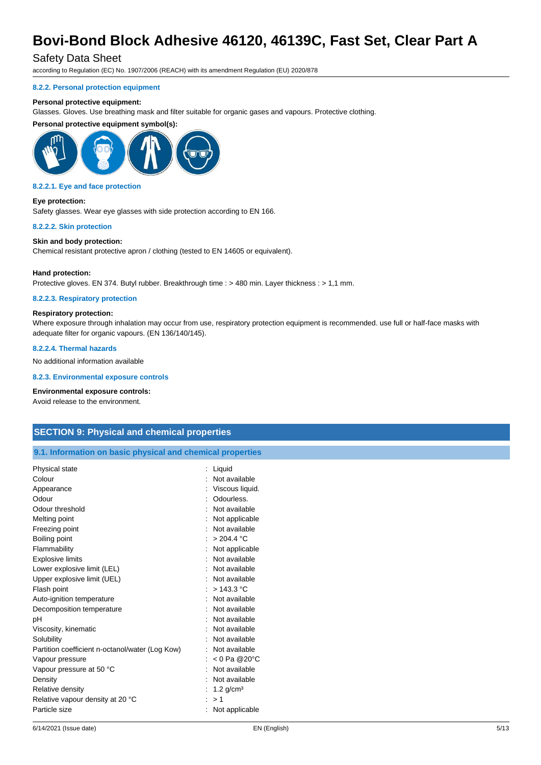### Safety Data Sheet

according to Regulation (EC) No. 1907/2006 (REACH) with its amendment Regulation (EU) 2020/878

#### **8.2.2. Personal protection equipment**

#### **Personal protective equipment:**

Glasses. Gloves. Use breathing mask and filter suitable for organic gases and vapours. Protective clothing.

#### **Personal protective equipment symbol(s):**



#### **8.2.2.1. Eye and face protection**

**Eye protection:** Safety glasses. Wear eye glasses with side protection according to EN 166.

#### **8.2.2.2. Skin protection**

#### **Skin and body protection:**

Chemical resistant protective apron / clothing (tested to EN 14605 or equivalent).

#### **Hand protection:**

Protective gloves. EN 374. Butyl rubber. Breakthrough time : > 480 min. Layer thickness : > 1,1 mm.

#### **8.2.2.3. Respiratory protection**

#### **Respiratory protection:**

Where exposure through inhalation may occur from use, respiratory protection equipment is recommended. use full or half-face masks with adequate filter for organic vapours. (EN 136/140/145).

#### **8.2.2.4. Thermal hazards**

No additional information available

**8.2.3. Environmental exposure controls**

#### **Environmental exposure controls:**

Avoid release to the environment.

### **SECTION 9: Physical and chemical properties**

**9.1. Information on basic physical and chemical properties**

| Physical state                                  | Liquid                    |
|-------------------------------------------------|---------------------------|
| Colour                                          | Not available             |
| Appearance                                      | Viscous liquid.           |
| Odour                                           | Odourless.                |
| Odour threshold                                 | Not available             |
| Melting point                                   | Not applicable            |
| Freezing point                                  | Not available             |
| Boiling point                                   | > 204.4 °C                |
| Flammability                                    | Not applicable            |
| <b>Explosive limits</b>                         | Not available             |
| Lower explosive limit (LEL)                     | Not available             |
| Upper explosive limit (UEL)                     | Not available             |
| Flash point                                     | > 143.3 °C                |
| Auto-ignition temperature                       | Not available             |
| Decomposition temperature                       | Not available             |
| pH                                              | Not available             |
| Viscosity, kinematic                            | Not available             |
| Solubility                                      | Not available             |
| Partition coefficient n-octanol/water (Log Kow) | Not available             |
| Vapour pressure                                 | $< 0$ Pa @20 $^{\circ}$ C |
| Vapour pressure at 50 °C                        | Not available             |
| Density                                         | Not available             |
| Relative density                                | $1.2$ g/cm <sup>3</sup>   |
| Relative vapour density at 20 °C                | >1                        |
| Particle size                                   | Not applicable            |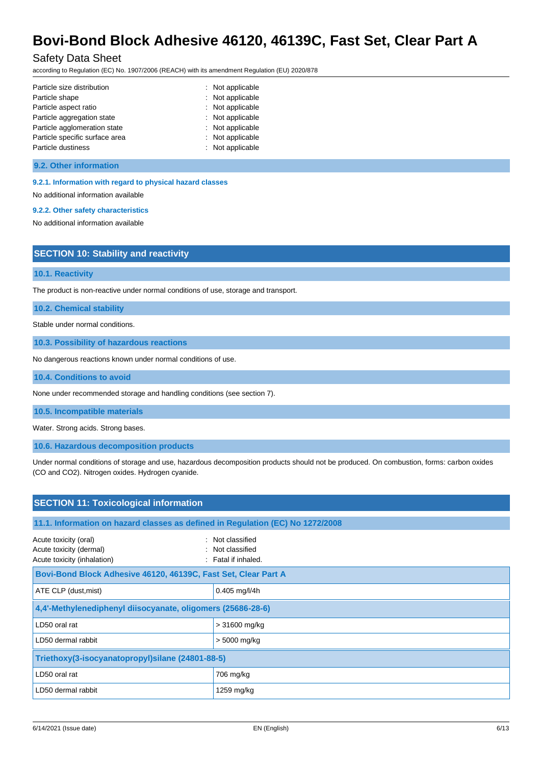### Safety Data Sheet

according to Regulation (EC) No. 1907/2006 (REACH) with its amendment Regulation (EU) 2020/878

| Particle size distribution     | : Not applicable |
|--------------------------------|------------------|
| Particle shape                 | : Not applicable |
| Particle aspect ratio          | : Not applicable |
| Particle aggregation state     | : Not applicable |
| Particle agglomeration state   | : Not applicable |
| Particle specific surface area | : Not applicable |
| Particle dustiness             | : Not applicable |

#### **9.2. Other information**

#### **9.2.1. Information with regard to physical hazard classes**

No additional information available

#### **9.2.2. Other safety characteristics**

No additional information available

| <b>SECTION 10: Stability and reactivity</b> |  |  |
|---------------------------------------------|--|--|
|                                             |  |  |
| <b>10.1. Reactivity</b>                     |  |  |

The product is non-reactive under normal conditions of use, storage and transport.

**10.2. Chemical stability**

Stable under normal conditions.

**10.3. Possibility of hazardous reactions**

No dangerous reactions known under normal conditions of use.

#### **10.4. Conditions to avoid**

None under recommended storage and handling conditions (see section 7).

#### **10.5. Incompatible materials**

Water. Strong acids. Strong bases.

**10.6. Hazardous decomposition products**

Under normal conditions of storage and use, hazardous decomposition products should not be produced. On combustion, forms: carbon oxides (CO and CO2). Nitrogen oxides. Hydrogen cyanide.

| <b>SECTION 11: Toxicological information</b>                                    |                                                             |  |
|---------------------------------------------------------------------------------|-------------------------------------------------------------|--|
| 11.1. Information on hazard classes as defined in Regulation (EC) No 1272/2008  |                                                             |  |
| Acute toxicity (oral)<br>Acute toxicity (dermal)<br>Acute toxicity (inhalation) | : Not classified<br>: Not classified<br>: Fatal if inhaled. |  |
| Bovi-Bond Block Adhesive 46120, 46139C, Fast Set, Clear Part A                  |                                                             |  |
| ATE CLP (dust, mist)                                                            | $0.405$ mg/l/4h                                             |  |
| 4,4'-Methylenediphenyl diisocyanate, oligomers (25686-28-6)                     |                                                             |  |
| LD50 oral rat                                                                   | > 31600 mg/kg                                               |  |
| LD50 dermal rabbit                                                              | > 5000 mg/kg                                                |  |
| Triethoxy(3-isocyanatopropyl) silane (24801-88-5)                               |                                                             |  |
| LD50 oral rat                                                                   | 706 mg/kg                                                   |  |
| LD50 dermal rabbit                                                              | 1259 mg/kg                                                  |  |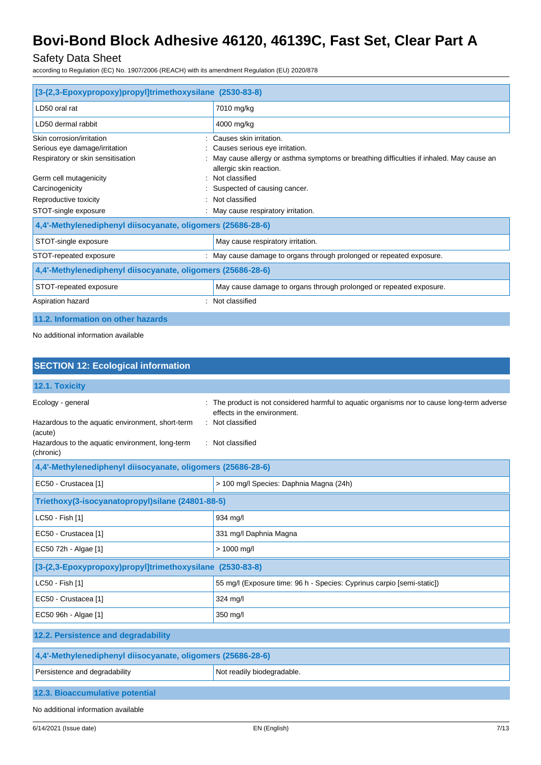# Safety Data Sheet

according to Regulation (EC) No. 1907/2006 (REACH) with its amendment Regulation (EU) 2020/878

| [3-(2,3-Epoxypropoxy)propyl]trimethoxysilane (2530-83-8)    |                                                                                                                    |
|-------------------------------------------------------------|--------------------------------------------------------------------------------------------------------------------|
| LD50 oral rat                                               | 7010 mg/kg                                                                                                         |
| LD50 dermal rabbit                                          | 4000 mg/kg                                                                                                         |
| Skin corrosion/irritation                                   | Causes skin irritation.                                                                                            |
| Serious eye damage/irritation                               | Causes serious eye irritation.                                                                                     |
| Respiratory or skin sensitisation                           | May cause allergy or asthma symptoms or breathing difficulties if inhaled. May cause an<br>allergic skin reaction. |
| Germ cell mutagenicity                                      | : Not classified                                                                                                   |
| Carcinogenicity                                             | Suspected of causing cancer.                                                                                       |
| Reproductive toxicity                                       | Not classified                                                                                                     |
| STOT-single exposure                                        | May cause respiratory irritation.                                                                                  |
| 4,4'-Methylenediphenyl diisocyanate, oligomers (25686-28-6) |                                                                                                                    |
| STOT-single exposure                                        | May cause respiratory irritation.                                                                                  |
| STOT-repeated exposure                                      | May cause damage to organs through prolonged or repeated exposure.                                                 |
| 4,4'-Methylenediphenyl diisocyanate, oligomers (25686-28-6) |                                                                                                                    |
| STOT-repeated exposure                                      | May cause damage to organs through prolonged or repeated exposure.                                                 |
| Aspiration hazard                                           | Not classified                                                                                                     |
| 11.2. Information on other hazards                          |                                                                                                                    |

No additional information available

| <b>SECTION 12: Ecological information</b>                                                                                                        |                                                                                                                                                                |
|--------------------------------------------------------------------------------------------------------------------------------------------------|----------------------------------------------------------------------------------------------------------------------------------------------------------------|
| 12.1. Toxicity                                                                                                                                   |                                                                                                                                                                |
| Ecology - general<br>Hazardous to the aquatic environment, short-term<br>(acute)<br>Hazardous to the aquatic environment, long-term<br>(chronic) | The product is not considered harmful to aquatic organisms nor to cause long-term adverse<br>effects in the environment.<br>Not classified<br>: Not classified |
| 4,4'-Methylenediphenyl diisocyanate, oligomers (25686-28-6)                                                                                      |                                                                                                                                                                |
| EC50 - Crustacea [1]                                                                                                                             | > 100 mg/l Species: Daphnia Magna (24h)                                                                                                                        |
| Triethoxy(3-isocyanatopropyl)silane (24801-88-5)                                                                                                 |                                                                                                                                                                |
| LC50 - Fish [1]                                                                                                                                  | 934 mg/l                                                                                                                                                       |
| EC50 - Crustacea [1]                                                                                                                             | 331 mg/l Daphnia Magna                                                                                                                                         |
| EC50 72h - Algae [1]                                                                                                                             | > 1000 mg/l                                                                                                                                                    |
| [3-(2,3-Epoxypropoxy)propyl]trimethoxysilane (2530-83-8)                                                                                         |                                                                                                                                                                |
| LC50 - Fish [1]                                                                                                                                  | 55 mg/l (Exposure time: 96 h - Species: Cyprinus carpio [semi-static])                                                                                         |
| EC50 - Crustacea [1]                                                                                                                             | 324 mg/l                                                                                                                                                       |
| EC50 96h - Algae [1]                                                                                                                             | 350 mg/l                                                                                                                                                       |
| 12.2. Persistence and degradability                                                                                                              |                                                                                                                                                                |
| 4,4'-Methylenediphenyl diisocyanate, oligomers (25686-28-6)                                                                                      |                                                                                                                                                                |
| Persistence and degradability                                                                                                                    | Not readily biodegradable.                                                                                                                                     |
| 12.3. Bioaccumulative potential                                                                                                                  |                                                                                                                                                                |
| No additional information available                                                                                                              |                                                                                                                                                                |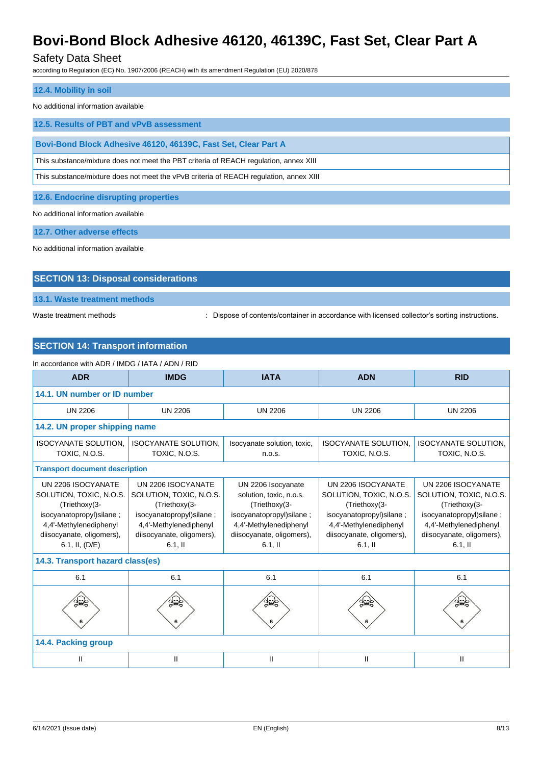### Safety Data Sheet

according to Regulation (EC) No. 1907/2006 (REACH) with its amendment Regulation (EU) 2020/878

| 12.4. Mobility in soil                                                                 |
|----------------------------------------------------------------------------------------|
| No additional information available                                                    |
| 12.5. Results of PBT and vPvB assessment                                               |
| Bovi-Bond Block Adhesive 46120, 46139C, Fast Set, Clear Part A                         |
| This substance/mixture does not meet the PBT criteria of REACH regulation, annex XIII  |
| This substance/mixture does not meet the vPvB criteria of REACH regulation, annex XIII |
|                                                                                        |

**12.6. Endocrine disrupting properties**

No additional information available

**12.7. Other adverse effects**

No additional information available

# **SECTION 13: Disposal considerations**

**13.1. Waste treatment methods**

Waste treatment methods : Dispose of contents/container in accordance with licensed collector's sorting instructions.

### **SECTION 14: Transport information**

| In accordance with ADR / IMDG / IATA / ADN / RID                                                                                                                    |                                                                                                                                                                 |                                                                                                                                                                 |                                                                                                                                                                 |                                                                                                                                                                  |  |
|---------------------------------------------------------------------------------------------------------------------------------------------------------------------|-----------------------------------------------------------------------------------------------------------------------------------------------------------------|-----------------------------------------------------------------------------------------------------------------------------------------------------------------|-----------------------------------------------------------------------------------------------------------------------------------------------------------------|------------------------------------------------------------------------------------------------------------------------------------------------------------------|--|
| <b>ADR</b><br><b>IMDG</b>                                                                                                                                           |                                                                                                                                                                 | <b>IATA</b>                                                                                                                                                     | <b>ADN</b>                                                                                                                                                      | <b>RID</b>                                                                                                                                                       |  |
| 14.1. UN number or ID number                                                                                                                                        |                                                                                                                                                                 |                                                                                                                                                                 |                                                                                                                                                                 |                                                                                                                                                                  |  |
| <b>UN 2206</b>                                                                                                                                                      | <b>UN 2206</b>                                                                                                                                                  | <b>UN 2206</b>                                                                                                                                                  | <b>UN 2206</b>                                                                                                                                                  | <b>UN 2206</b>                                                                                                                                                   |  |
| 14.2. UN proper shipping name                                                                                                                                       |                                                                                                                                                                 |                                                                                                                                                                 |                                                                                                                                                                 |                                                                                                                                                                  |  |
| <b>ISOCYANATE SOLUTION.</b><br>TOXIC, N.O.S.                                                                                                                        | <b>ISOCYANATE SOLUTION.</b><br><b>ISOCYANATE SOLUTION.</b><br>Isocyanate solution, toxic,<br>TOXIC, N.O.S.<br>TOXIC, N.O.S.<br>n.o.s.                           |                                                                                                                                                                 | <b>ISOCYANATE SOLUTION.</b><br>TOXIC, N.O.S.                                                                                                                    |                                                                                                                                                                  |  |
| <b>Transport document description</b>                                                                                                                               |                                                                                                                                                                 |                                                                                                                                                                 |                                                                                                                                                                 |                                                                                                                                                                  |  |
| UN 2206 ISOCYANATE<br>SOLUTION, TOXIC, N.O.S.<br>(Triethoxy(3-<br>isocyanatopropyl)silane;<br>4,4'-Methylenediphenyl<br>diisocyanate, oligomers),<br>6.1, II, (D/E) | UN 2206 ISOCYANATE<br>SOLUTION, TOXIC, N.O.S.<br>(Triethoxy(3-<br>isocyanatopropyl)silane;<br>4,4'-Methylenediphenyl<br>diisocyanate, oligomers),<br>$6.1$ , II | UN 2206 Isocyanate<br>solution, toxic, n.o.s.<br>(Triethoxy(3-<br>isocyanatopropyl)silane;<br>4,4'-Methylenediphenyl<br>diisocyanate, oligomers),<br>$6.1$ , II | UN 2206 ISOCYANATE<br>SOLUTION, TOXIC, N.O.S.<br>(Triethoxy(3-<br>isocyanatopropyl)silane;<br>4,4'-Methylenediphenyl<br>diisocyanate, oligomers),<br>$6.1$ , II | UN 2206 ISOCYANATE<br>SOLUTION, TOXIC, N.O.S.<br>(Triethoxy(3-<br>isocyanatopropyl) silane;<br>4,4'-Methylenediphenyl<br>diisocyanate, oligomers),<br>$6.1$ , II |  |
|                                                                                                                                                                     | 14.3. Transport hazard class(es)                                                                                                                                |                                                                                                                                                                 |                                                                                                                                                                 |                                                                                                                                                                  |  |
| 6.1                                                                                                                                                                 | 6.1                                                                                                                                                             | 6.1                                                                                                                                                             | 6.1                                                                                                                                                             | 6.1                                                                                                                                                              |  |
|                                                                                                                                                                     |                                                                                                                                                                 |                                                                                                                                                                 |                                                                                                                                                                 |                                                                                                                                                                  |  |
| 14.4. Packing group                                                                                                                                                 |                                                                                                                                                                 |                                                                                                                                                                 |                                                                                                                                                                 |                                                                                                                                                                  |  |
| Ш                                                                                                                                                                   | Ш                                                                                                                                                               | Ш                                                                                                                                                               | Ш                                                                                                                                                               | Ш                                                                                                                                                                |  |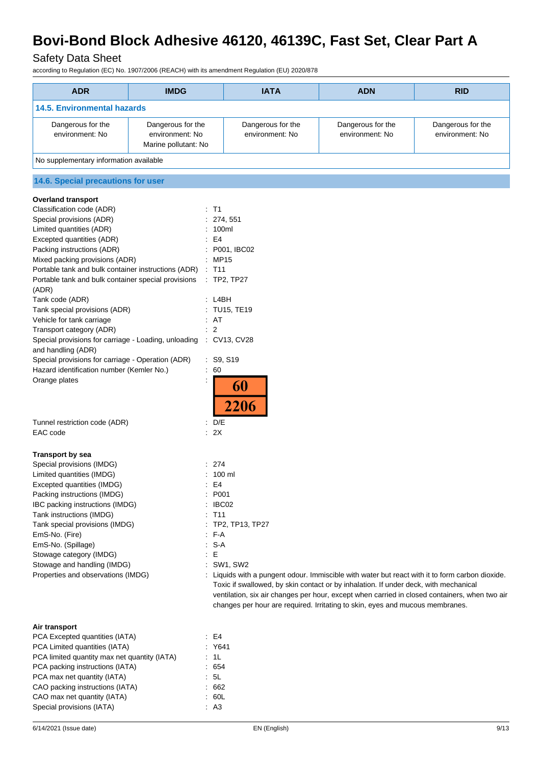# Safety Data Sheet

according to Regulation (EC) No. 1907/2006 (REACH) with its amendment Regulation (EU) 2020/878

| <b>ADR</b>                                                        | <b>IMDG</b>          |                                                                                                 | <b>IATA</b>                                                                                                                                                           | <b>ADN</b>        | <b>RID</b>                                                                                    |  |  |
|-------------------------------------------------------------------|----------------------|-------------------------------------------------------------------------------------------------|-----------------------------------------------------------------------------------------------------------------------------------------------------------------------|-------------------|-----------------------------------------------------------------------------------------------|--|--|
| <b>14.5. Environmental hazards</b>                                |                      |                                                                                                 |                                                                                                                                                                       |                   |                                                                                               |  |  |
| Dangerous for the                                                 | Dangerous for the    |                                                                                                 | Dangerous for the                                                                                                                                                     | Dangerous for the | Dangerous for the                                                                             |  |  |
| environment: No                                                   | environment: No      |                                                                                                 | environment: No                                                                                                                                                       | environment: No   | environment: No                                                                               |  |  |
| No supplementary information available                            | Marine pollutant: No |                                                                                                 |                                                                                                                                                                       |                   |                                                                                               |  |  |
|                                                                   |                      |                                                                                                 |                                                                                                                                                                       |                   |                                                                                               |  |  |
| 14.6. Special precautions for user                                |                      |                                                                                                 |                                                                                                                                                                       |                   |                                                                                               |  |  |
| <b>Overland transport</b>                                         |                      |                                                                                                 |                                                                                                                                                                       |                   |                                                                                               |  |  |
| Classification code (ADR)<br>Special provisions (ADR)             |                      | $\therefore$ T1                                                                                 | 274, 551                                                                                                                                                              |                   |                                                                                               |  |  |
| Limited quantities (ADR)                                          |                      | 100ml                                                                                           |                                                                                                                                                                       |                   |                                                                                               |  |  |
| Excepted quantities (ADR)                                         |                      | E <sub>4</sub>                                                                                  |                                                                                                                                                                       |                   |                                                                                               |  |  |
| Packing instructions (ADR)                                        |                      |                                                                                                 | P001, IBC02                                                                                                                                                           |                   |                                                                                               |  |  |
| Mixed packing provisions (ADR)                                    |                      | : MP15                                                                                          |                                                                                                                                                                       |                   |                                                                                               |  |  |
| Portable tank and bulk container instructions (ADR)               |                      | : T11                                                                                           |                                                                                                                                                                       |                   |                                                                                               |  |  |
| Portable tank and bulk container special provisions<br>(ADR)      |                      |                                                                                                 | $\therefore$ TP2, TP27                                                                                                                                                |                   |                                                                                               |  |  |
| Tank code (ADR)                                                   |                      | : LABH                                                                                          |                                                                                                                                                                       |                   |                                                                                               |  |  |
| Tank special provisions (ADR)                                     |                      |                                                                                                 | : TU15, TE19                                                                                                                                                          |                   |                                                                                               |  |  |
| Vehicle for tank carriage                                         |                      | : AT                                                                                            |                                                                                                                                                                       |                   |                                                                                               |  |  |
| Transport category (ADR)                                          |                      | $\overline{2}$                                                                                  |                                                                                                                                                                       |                   |                                                                                               |  |  |
| Special provisions for carriage - Loading, unloading : CV13, CV28 |                      |                                                                                                 |                                                                                                                                                                       |                   |                                                                                               |  |  |
| and handling (ADR)                                                |                      |                                                                                                 |                                                                                                                                                                       |                   |                                                                                               |  |  |
| Special provisions for carriage - Operation (ADR)                 |                      | : S9, S19                                                                                       |                                                                                                                                                                       |                   |                                                                                               |  |  |
| Hazard identification number (Kemler No.)                         | ÷                    | 60                                                                                              |                                                                                                                                                                       |                   |                                                                                               |  |  |
| Orange plates                                                     |                      |                                                                                                 | 60<br>2206                                                                                                                                                            |                   |                                                                                               |  |  |
| Tunnel restriction code (ADR)                                     |                      | $\therefore$ D/E                                                                                |                                                                                                                                                                       |                   |                                                                                               |  |  |
| EAC code                                                          |                      | : 2X                                                                                            |                                                                                                                                                                       |                   |                                                                                               |  |  |
|                                                                   |                      |                                                                                                 |                                                                                                                                                                       |                   |                                                                                               |  |  |
| <b>Transport by sea</b><br>Special provisions (IMDG)              |                      |                                                                                                 |                                                                                                                                                                       |                   |                                                                                               |  |  |
| Limited quantities (IMDG)                                         |                      | : 274                                                                                           |                                                                                                                                                                       |                   |                                                                                               |  |  |
| Excepted quantities (IMDG)                                        |                      | : 100 ml                                                                                        |                                                                                                                                                                       |                   |                                                                                               |  |  |
| Packing instructions (IMDG)                                       |                      | E4                                                                                              |                                                                                                                                                                       |                   |                                                                                               |  |  |
| IBC packing instructions (IMDG)                                   |                      | P001<br>IBC02                                                                                   |                                                                                                                                                                       |                   |                                                                                               |  |  |
| Tank instructions (IMDG)                                          |                      | T <sub>11</sub>                                                                                 |                                                                                                                                                                       |                   |                                                                                               |  |  |
| Tank special provisions (IMDG)                                    |                      |                                                                                                 | TP2, TP13, TP27                                                                                                                                                       |                   |                                                                                               |  |  |
| EmS-No. (Fire)                                                    |                      | F-A                                                                                             |                                                                                                                                                                       |                   |                                                                                               |  |  |
| EmS-No. (Spillage)                                                |                      | $S-A$                                                                                           |                                                                                                                                                                       |                   |                                                                                               |  |  |
| Stowage category (IMDG)                                           |                      | Е                                                                                               |                                                                                                                                                                       |                   |                                                                                               |  |  |
| Stowage and handling (IMDG)                                       |                      |                                                                                                 | SW1, SW2                                                                                                                                                              |                   |                                                                                               |  |  |
| Properties and observations (IMDG)                                |                      | : Liquids with a pungent odour. Immiscible with water but react with it to form carbon dioxide. |                                                                                                                                                                       |                   |                                                                                               |  |  |
|                                                                   |                      |                                                                                                 | Toxic if swallowed, by skin contact or by inhalation. If under deck, with mechanical<br>changes per hour are required. Irritating to skin, eyes and mucous membranes. |                   | ventilation, six air changes per hour, except when carried in closed containers, when two air |  |  |
|                                                                   |                      |                                                                                                 |                                                                                                                                                                       |                   |                                                                                               |  |  |
| Air transport                                                     |                      |                                                                                                 |                                                                                                                                                                       |                   |                                                                                               |  |  |
| PCA Excepted quantities (IATA)                                    |                      | E4                                                                                              |                                                                                                                                                                       |                   |                                                                                               |  |  |
| PCA Limited quantities (IATA)                                     |                      | : Y641                                                                                          |                                                                                                                                                                       |                   |                                                                                               |  |  |
| PCA limited quantity max net quantity (IATA)                      |                      | : 1L                                                                                            |                                                                                                                                                                       |                   |                                                                                               |  |  |
| PCA packing instructions (IATA)                                   |                      | 654                                                                                             |                                                                                                                                                                       |                   |                                                                                               |  |  |

PCA max net quantity (IATA) **:** 5L CAO packing instructions (IATA) : 662 CAO max net quantity (IATA) : 60L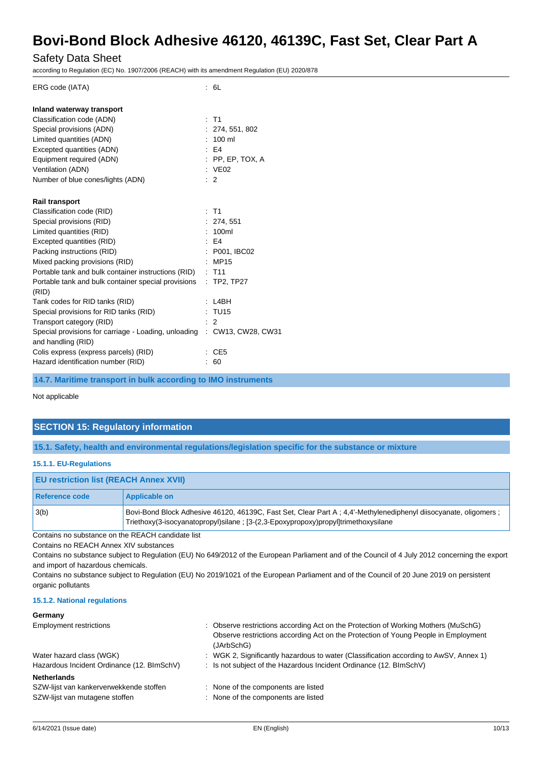### Safety Data Sheet

according to Regulation (EC) No. 1907/2006 (REACH) with its amendment Regulation (EU) 2020/878

| ERG code (IATA)                                                            |   | : 6L                |
|----------------------------------------------------------------------------|---|---------------------|
| Inland waterway transport                                                  |   |                     |
| Classification code (ADN)                                                  | ÷ | T1                  |
| Special provisions (ADN)                                                   |   | : 274, 551, 802     |
| Limited quantities (ADN)                                                   |   | $: 100 \text{ ml}$  |
| Excepted quantities (ADN)                                                  |   | $E = 54$            |
| Equipment required (ADN)                                                   |   | $:$ PP, EP, TOX, A  |
| Ventilation (ADN)                                                          |   | : $VEO2$            |
| Number of blue cones/lights (ADN)                                          |   | $\therefore$ 2      |
| <b>Rail transport</b>                                                      |   |                     |
| Classification code (RID)                                                  |   | $:$ T1              |
| Special provisions (RID)                                                   |   | : 274, 551          |
| Limited quantities (RID)                                                   |   | : 100ml             |
| Excepted quantities (RID)                                                  |   | $E = 4$             |
| Packing instructions (RID)                                                 |   | : P001, IBC02       |
| Mixed packing provisions (RID)                                             |   | MP15                |
| Portable tank and bulk container instructions (RID)                        |   | $:$ T <sub>11</sub> |
| Portable tank and bulk container special provisions<br>(RID)               |   | $:$ TP2, TP27       |
| Tank codes for RID tanks (RID)                                             |   | L4BH                |
| Special provisions for RID tanks (RID)                                     |   | : TU15              |
| Transport category (RID)                                                   |   | 2                   |
| Special provisions for carriage - Loading, unloading<br>and handling (RID) |   | : CW13, CW28, CW31  |
| Colis express (express parcels) (RID)                                      |   | CE <sub>5</sub>     |
| Hazard identification number (RID)                                         |   | 60                  |
|                                                                            |   |                     |

**14.7. Maritime transport in bulk according to IMO instruments**

#### Not applicable

### **SECTION 15: Regulatory information**

**15.1. Safety, health and environmental regulations/legislation specific for the substance or mixture**

#### **15.1.1. EU-Regulations**

| <b>EU restriction list (REACH Annex XVII)</b>     |                                                                                                                                                                                                      |
|---------------------------------------------------|------------------------------------------------------------------------------------------------------------------------------------------------------------------------------------------------------|
| Reference code                                    | Applicable on                                                                                                                                                                                        |
| 3(b)                                              | Bovi-Bond Block Adhesive 46120, 46139C, Fast Set, Clear Part A; 4,4'-Methylenediphenyl diisocyanate, oligomers;<br>Triethoxy(3-isocyanatopropyl)silane; [3-(2,3-Epoxypropoxy)propyl]trimethoxysilane |
| Contains no substance on the REACH candidate list |                                                                                                                                                                                                      |

Contains no REACH Annex XIV substances

Contains no substance subject to Regulation (EU) No 649/2012 of the European Parliament and of the Council of 4 July 2012 concerning the export and import of hazardous chemicals.

Contains no substance subject to Regulation (EU) No 2019/1021 of the European Parliament and of the Council of 20 June 2019 on persistent organic pollutants

#### **15.1.2. National regulations**

#### **Germany**

| <b>Employment restrictions</b>             | : Observe restrictions according Act on the Protection of Working Mothers (MuSchG)<br>Observe restrictions according Act on the Protection of Young People in Employment<br>(JArbSchG) |
|--------------------------------------------|----------------------------------------------------------------------------------------------------------------------------------------------------------------------------------------|
| Water hazard class (WGK)                   | : WGK 2, Significantly hazardous to water (Classification according to AwSV, Annex 1)                                                                                                  |
| Hazardous Incident Ordinance (12. BImSchV) | : Is not subject of the Hazardous Incident Ordinance (12. BImSchV)                                                                                                                     |
| <b>Netherlands</b>                         |                                                                                                                                                                                        |
| SZW-lijst van kankerverwekkende stoffen    | : None of the components are listed                                                                                                                                                    |
| SZW-lijst van mutagene stoffen             | : None of the components are listed                                                                                                                                                    |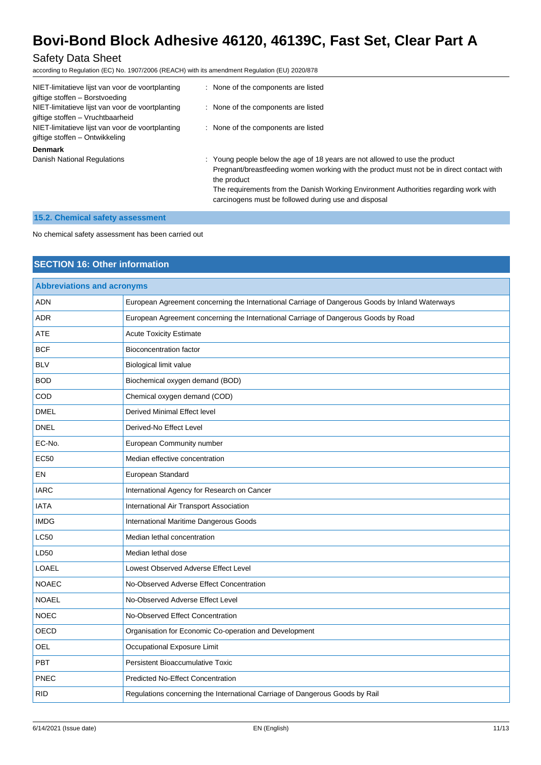### Safety Data Sheet

according to Regulation (EC) No. 1907/2006 (REACH) with its amendment Regulation (EU) 2020/878

| NIET-limitatieve lijst van voor de voortplanting<br>giftige stoffen - Borstvoeding   | : None of the components are listed                                                                                                                                                                                                                                                                                                    |
|--------------------------------------------------------------------------------------|----------------------------------------------------------------------------------------------------------------------------------------------------------------------------------------------------------------------------------------------------------------------------------------------------------------------------------------|
| NIET-limitatieve lijst van voor de voortplanting<br>giftige stoffen - Vruchtbaarheid | : None of the components are listed                                                                                                                                                                                                                                                                                                    |
| NIET-limitatieve lijst van voor de voortplanting<br>giftige stoffen – Ontwikkeling   | : None of the components are listed                                                                                                                                                                                                                                                                                                    |
| <b>Denmark</b>                                                                       |                                                                                                                                                                                                                                                                                                                                        |
| Danish National Regulations                                                          | : Young people below the age of 18 years are not allowed to use the product<br>Pregnant/breastfeeding women working with the product must not be in direct contact with<br>the product<br>The requirements from the Danish Working Environment Authorities regarding work with<br>carcinogens must be followed during use and disposal |

### **15.2. Chemical safety assessment**

No chemical safety assessment has been carried out

### **SECTION 16: Other information**

| <b>Abbreviations and acronyms</b> |                                                                                                 |  |
|-----------------------------------|-------------------------------------------------------------------------------------------------|--|
| <b>ADN</b>                        | European Agreement concerning the International Carriage of Dangerous Goods by Inland Waterways |  |
| <b>ADR</b>                        | European Agreement concerning the International Carriage of Dangerous Goods by Road             |  |
| ATE                               | <b>Acute Toxicity Estimate</b>                                                                  |  |
| <b>BCF</b>                        | <b>Bioconcentration factor</b>                                                                  |  |
| <b>BLV</b>                        | Biological limit value                                                                          |  |
| <b>BOD</b>                        | Biochemical oxygen demand (BOD)                                                                 |  |
| COD                               | Chemical oxygen demand (COD)                                                                    |  |
| <b>DMEL</b>                       | Derived Minimal Effect level                                                                    |  |
| <b>DNEL</b>                       | Derived-No Effect Level                                                                         |  |
| EC-No.                            | European Community number                                                                       |  |
| <b>EC50</b>                       | Median effective concentration                                                                  |  |
| EN                                | European Standard                                                                               |  |
| <b>IARC</b>                       | International Agency for Research on Cancer                                                     |  |
| <b>IATA</b>                       | International Air Transport Association                                                         |  |
| <b>IMDG</b>                       | International Maritime Dangerous Goods                                                          |  |
| <b>LC50</b>                       | Median lethal concentration                                                                     |  |
| LD50                              | Median lethal dose                                                                              |  |
| <b>LOAEL</b>                      | Lowest Observed Adverse Effect Level                                                            |  |
| <b>NOAEC</b>                      | No-Observed Adverse Effect Concentration                                                        |  |
| <b>NOAEL</b>                      | No-Observed Adverse Effect Level                                                                |  |
| <b>NOEC</b>                       | No-Observed Effect Concentration                                                                |  |
| <b>OECD</b>                       | Organisation for Economic Co-operation and Development                                          |  |
| <b>OEL</b>                        | Occupational Exposure Limit                                                                     |  |
| <b>PBT</b>                        | Persistent Bioaccumulative Toxic                                                                |  |
| <b>PNEC</b>                       | <b>Predicted No-Effect Concentration</b>                                                        |  |
| <b>RID</b>                        | Regulations concerning the International Carriage of Dangerous Goods by Rail                    |  |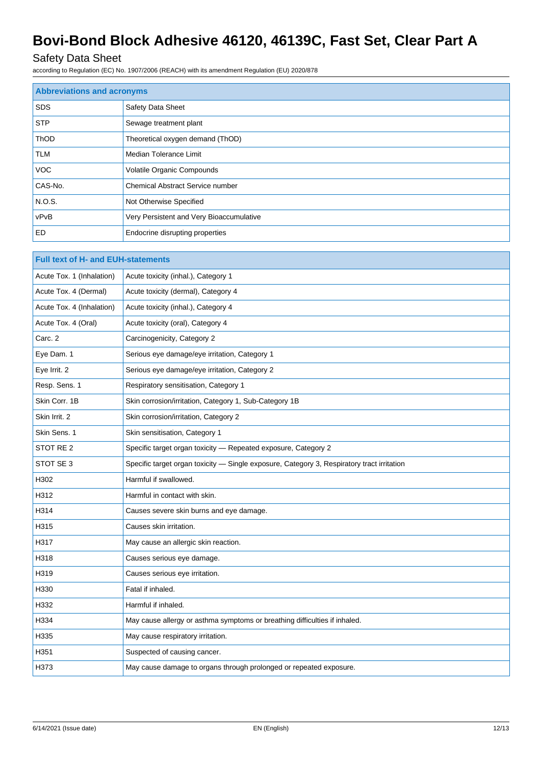# Safety Data Sheet

according to Regulation (EC) No. 1907/2006 (REACH) with its amendment Regulation (EU) 2020/878

| <b>Abbreviations and acronyms</b> |                                          |
|-----------------------------------|------------------------------------------|
| <b>SDS</b>                        | <b>Safety Data Sheet</b>                 |
| <b>STP</b>                        | Sewage treatment plant                   |
| <b>ThOD</b>                       | Theoretical oxygen demand (ThOD)         |
| <b>TLM</b>                        | Median Tolerance Limit                   |
| <b>VOC</b>                        | Volatile Organic Compounds               |
| CAS-No.                           | <b>Chemical Abstract Service number</b>  |
| N.O.S.                            | Not Otherwise Specified                  |
| vPvB                              | Very Persistent and Very Bioaccumulative |
| ED                                | Endocrine disrupting properties          |

| <b>Full text of H- and EUH-statements</b> |                                                                                            |
|-------------------------------------------|--------------------------------------------------------------------------------------------|
| Acute Tox. 1 (Inhalation)                 | Acute toxicity (inhal.), Category 1                                                        |
| Acute Tox. 4 (Dermal)                     | Acute toxicity (dermal), Category 4                                                        |
| Acute Tox. 4 (Inhalation)                 | Acute toxicity (inhal.), Category 4                                                        |
| Acute Tox. 4 (Oral)                       | Acute toxicity (oral), Category 4                                                          |
| Carc. 2                                   | Carcinogenicity, Category 2                                                                |
| Eye Dam. 1                                | Serious eye damage/eye irritation, Category 1                                              |
| Eye Irrit. 2                              | Serious eye damage/eye irritation, Category 2                                              |
| Resp. Sens. 1                             | Respiratory sensitisation, Category 1                                                      |
| Skin Corr. 1B                             | Skin corrosion/irritation, Category 1, Sub-Category 1B                                     |
| Skin Irrit, 2                             | Skin corrosion/irritation, Category 2                                                      |
| Skin Sens. 1                              | Skin sensitisation, Category 1                                                             |
| STOT RE <sub>2</sub>                      | Specific target organ toxicity - Repeated exposure, Category 2                             |
| STOT SE 3                                 | Specific target organ toxicity - Single exposure, Category 3, Respiratory tract irritation |
| H302                                      | Harmful if swallowed.                                                                      |
| H312                                      | Harmful in contact with skin.                                                              |
| H314                                      | Causes severe skin burns and eye damage.                                                   |
| H315                                      | Causes skin irritation.                                                                    |
| H317                                      | May cause an allergic skin reaction.                                                       |
| H318                                      | Causes serious eye damage.                                                                 |
| H319                                      | Causes serious eye irritation.                                                             |
| H330                                      | Fatal if inhaled.                                                                          |
| H332                                      | Harmful if inhaled.                                                                        |
| H334                                      | May cause allergy or asthma symptoms or breathing difficulties if inhaled.                 |
| H335                                      | May cause respiratory irritation.                                                          |
| H351                                      | Suspected of causing cancer.                                                               |
| H373                                      | May cause damage to organs through prolonged or repeated exposure.                         |